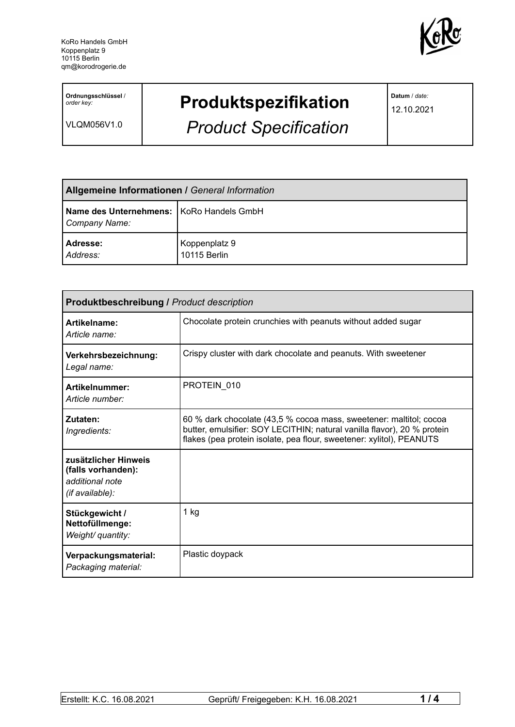

**Ordnungsschlüssel** / *order key:*

VLQM056V1.0

## **Produktspezifikation**

*Product Specification*

**Datum** / *date:*

12.10.2021

| <b>Allgemeine Informationen / General Information</b>       |                               |  |
|-------------------------------------------------------------|-------------------------------|--|
| Name des Unternehmens:   KoRo Handels GmbH<br>Company Name: |                               |  |
| Adresse:<br>Address:                                        | Koppenplatz 9<br>10115 Berlin |  |

| Produktbeschreibung / Product description                                        |                                                                                                                                                                                                                       |  |
|----------------------------------------------------------------------------------|-----------------------------------------------------------------------------------------------------------------------------------------------------------------------------------------------------------------------|--|
| Artikelname:<br>Article name:                                                    | Chocolate protein crunchies with peanuts without added sugar                                                                                                                                                          |  |
| Verkehrsbezeichnung:<br>Legal name:                                              | Crispy cluster with dark chocolate and peanuts. With sweetener                                                                                                                                                        |  |
| Artikelnummer:<br>Article number:                                                | PROTEIN 010                                                                                                                                                                                                           |  |
| Zutaten:<br>Ingredients:                                                         | 60 % dark chocolate (43,5 % cocoa mass, sweetener: maltitol; cocoa<br>butter, emulsifier: SOY LECITHIN; natural vanilla flavor), 20 % protein<br>flakes (pea protein isolate, pea flour, sweetener: xylitol), PEANUTS |  |
| zusätzlicher Hinweis<br>(falls vorhanden):<br>additional note<br>(if available): |                                                                                                                                                                                                                       |  |
| Stückgewicht /<br>Nettofüllmenge:<br>Weight/ quantity:                           | $1$ kg                                                                                                                                                                                                                |  |
| Verpackungsmaterial:<br>Packaging material:                                      | Plastic doypack                                                                                                                                                                                                       |  |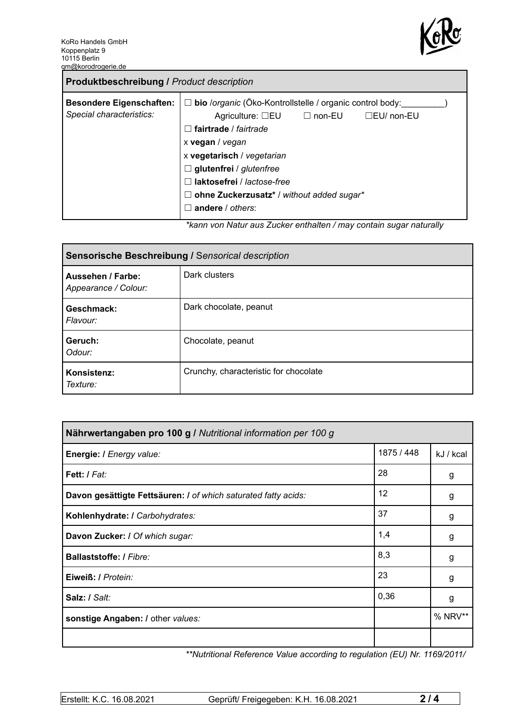

| <b>Produktbeschreibung / Product description</b>            |                                                                                                                                                                                                                                                                                                                                                                                                                                                         |
|-------------------------------------------------------------|---------------------------------------------------------------------------------------------------------------------------------------------------------------------------------------------------------------------------------------------------------------------------------------------------------------------------------------------------------------------------------------------------------------------------------------------------------|
| <b>Besondere Eigenschaften:</b><br>Special characteristics: | bio /organic (Öko-Kontrollstelle / organic control body:<br>$\Box$<br>Agriculture: $\square$ EU $\square$ non-EU<br>$\Box$ EU/ non-EU<br>fairtrade / fairtrade<br>$\overline{\phantom{a}}$<br>x vegan / vegan<br>x vegetarisch / vegetarian<br>$\Box$ glutenfrei / glutenfree<br>laktosefrei / lactose-free<br>ohne Zuckerzusatz* / without added sugar*<br>Ш<br>andere / others:<br>ticana yan Natur aya Zuaker anthaltan (may santain ayner naturally |

*\*kann von Natur aus Zucker enthalten / may contain sugar naturally*

| Sensorische Beschreibung / Sensorical description |                                       |  |
|---------------------------------------------------|---------------------------------------|--|
| Aussehen / Farbe:<br>Appearance / Colour:         | Dark clusters                         |  |
| Geschmack:<br>Flavour:                            | Dark chocolate, peanut                |  |
| Geruch:<br>Odour:                                 | Chocolate, peanut                     |  |
| Konsistenz:<br>Texture:                           | Crunchy, characteristic for chocolate |  |

| Nährwertangaben pro 100 g / Nutritional information per 100 g  |            |           |
|----------------------------------------------------------------|------------|-----------|
| Energie: I Energy value:                                       | 1875 / 448 | kJ / kcal |
| Fett: I Fat:                                                   | 28         | g         |
| Davon gesättigte Fettsäuren: I of which saturated fatty acids: | 12         | g         |
| Kohlenhydrate: I Carbohydrates:                                | 37         | g         |
| Davon Zucker: / Of which sugar:                                | 1,4        | g         |
| Ballaststoffe: / Fibre:                                        | 8,3        | g         |
| Eiweiß: / Protein:                                             | 23         | g         |
| Salz: / Salt:                                                  | 0,36       | g         |
| sonstige Angaben: / other values:                              |            | % NRV**   |
|                                                                |            |           |

*\*\*Nutritional Reference Value according to regulation (EU) Nr. 1169/2011/*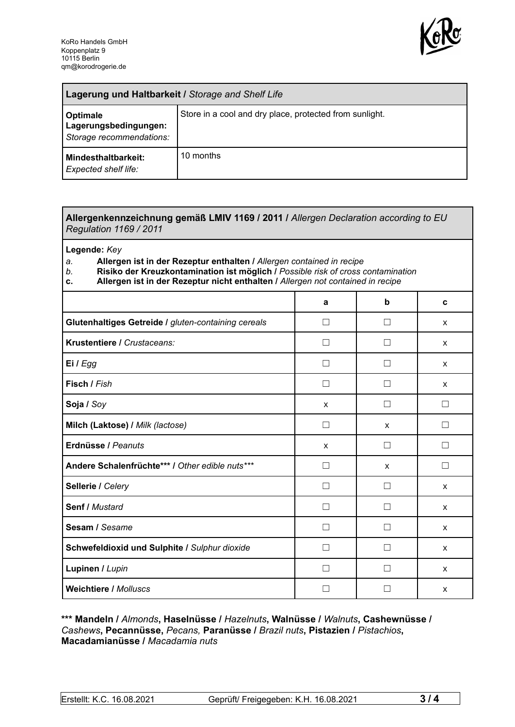

| Lagerung und Haltbarkeit / Storage and Shelf Life             |                                                         |  |
|---------------------------------------------------------------|---------------------------------------------------------|--|
| Optimale<br>Lagerungsbedingungen:<br>Storage recommendations: | Store in a cool and dry place, protected from sunlight. |  |
| Mindesthaltbarkeit:<br><b>Expected shelf life:</b>            | 10 months                                               |  |

## **Allergenkennzeichnung gemäß LMIV 1169 / 2011 /** *Allergen Declaration according to EU Regulation 1169 / 2011*

**Legende:** *Key*

*a.* **Allergen ist in der Rezeptur enthalten /** *Allergen contained in recipe*

- *b.* **Risiko der Kreuzkontamination ist möglich /** *Possible risk of cross contamination*
- **c. Allergen ist in der Rezeptur nicht enthalten /** *Allergen not contained in recipe*

|                                                     | a             | b                 | C |
|-----------------------------------------------------|---------------|-------------------|---|
| Glutenhaltiges Getreide / gluten-containing cereals | $\Box$        |                   | X |
| Krustentiere / Crustaceans:                         |               |                   | X |
| Ei / Egg                                            |               |                   | X |
| Fisch / Fish                                        |               |                   | X |
| Soja / Soy                                          | X             |                   |   |
| Milch (Laktose) / Milk (lactose)                    | П             | $\mathsf{x}$      | П |
| Erdnüsse / Peanuts                                  | X             | $\perp$           | П |
| Andere Schalenfrüchte*** / Other edible nuts***     | П             | X                 | П |
| Sellerie / Celery                                   | П             | П                 | X |
| Senf / Mustard                                      | П             | $\vert \ \ \vert$ | X |
| Sesam / Sesame                                      | Ш             |                   | X |
| Schwefeldioxid und Sulphite / Sulphur dioxide       | $\mathcal{L}$ |                   | X |
| Lupinen / Lupin                                     |               |                   | X |
| <b>Weichtiere / Molluscs</b>                        |               |                   | X |

## **\*\*\* Mandeln /** *Almonds***, Haselnüsse /** *Hazelnuts***, Walnüsse /** *Walnuts***, Cashewnüsse /** *Cashews***, Pecannüsse,** *Pecans,* **Paranüsse /** *Brazil nuts***, Pistazien /** *Pistachios***, Macadamianüsse /** *Macadamia nuts*